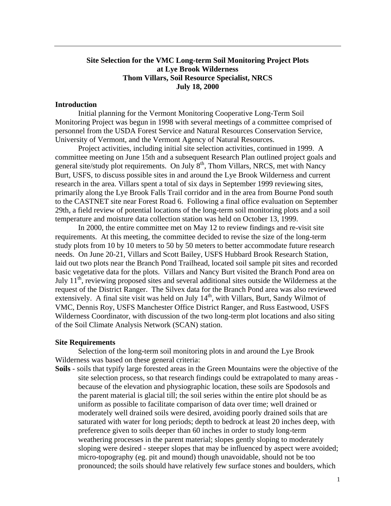# **Site Selection for the VMC Long-term Soil Monitoring Project Plots at Lye Brook Wilderness Thom Villars, Soil Resource Specialist, NRCS July 18, 2000**

## **Introduction**

Initial planning for the Vermont Monitoring Cooperative Long-Term Soil Monitoring Project was begun in 1998 with several meetings of a committee comprised of personnel from the USDA Forest Service and Natural Resources Conservation Service, University of Vermont, and the Vermont Agency of Natural Resources.

Project activities, including initial site selection activities, continued in 1999. A committee meeting on June 15th and a subsequent Research Plan outlined project goals and general site/study plot requirements. On July  $8<sup>th</sup>$ , Thom Villars, NRCS, met with Nancy Burt, USFS, to discuss possible sites in and around the Lye Brook Wilderness and current research in the area. Villars spent a total of six days in September 1999 reviewing sites, primarily along the Lye Brook Falls Trail corridor and in the area from Bourne Pond south to the CASTNET site near Forest Road 6. Following a final office evaluation on September 29th, a field review of potential locations of the long-term soil monitoring plots and a soil temperature and moisture data collection station was held on October 13, 1999.

In 2000, the entire committee met on May 12 to review findings and re-visit site requirements. At this meeting, the committee decided to revise the size of the long-term study plots from 10 by 10 meters to 50 by 50 meters to better accommodate future research needs. On June 20-21, Villars and Scott Bailey, USFS Hubbard Brook Research Station, laid out two plots near the Branch Pond Trailhead, located soil sample pit sites and recorded basic vegetative data for the plots. Villars and Nancy Burt visited the Branch Pond area on July  $11<sup>th</sup>$ , reviewing proposed sites and several additional sites outside the Wilderness at the request of the District Ranger. The Silvex data for the Branch Pond area was also reviewed extensively. A final site visit was held on July 14<sup>th</sup>, with Villars, Burt, Sandy Wilmot of VMC, Dennis Roy, USFS Manchester Office District Ranger, and Russ Eastwood, USFS Wilderness Coordinator, with discussion of the two long-term plot locations and also siting of the Soil Climate Analysis Network (SCAN) station.

### **Site Requirements**

Selection of the long-term soil monitoring plots in and around the Lye Brook Wilderness was based on these general criteria:

**Soils** - soils that typify large forested areas in the Green Mountains were the objective of the site selection process, so that research findings could be extrapolated to many areas because of the elevation and physiographic location, these soils are Spodosols and the parent material is glacial till; the soil series within the entire plot should be as uniform as possible to facilitate comparison of data over time; well drained or moderately well drained soils were desired, avoiding poorly drained soils that are saturated with water for long periods; depth to bedrock at least 20 inches deep, with preference given to soils deeper than 60 inches in order to study long-term weathering processes in the parent material; slopes gently sloping to moderately sloping were desired - steeper slopes that may be influenced by aspect were avoided; micro-topography (eg. pit and mound) though unavoidable, should not be too pronounced; the soils should have relatively few surface stones and boulders, which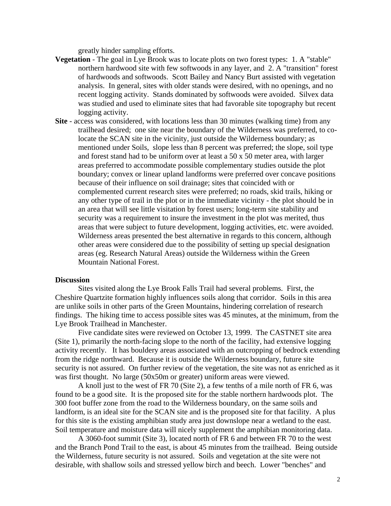greatly hinder sampling efforts.

- **Vegetation**  The goal in Lye Brook was to locate plots on two forest types: 1. A "stable" northern hardwood site with few softwoods in any layer, and 2. A "transition" forest of hardwoods and softwoods. Scott Bailey and Nancy Burt assisted with vegetation analysis. In general, sites with older stands were desired, with no openings, and no recent logging activity. Stands dominated by softwoods were avoided. Silvex data was studied and used to eliminate sites that had favorable site topography but recent logging activity.
- **Site**  access was considered, with locations less than 30 minutes (walking time) from any trailhead desired; one site near the boundary of the Wilderness was preferred, to colocate the SCAN site in the vicinity, just outside the Wilderness boundary; as mentioned under Soils, slope less than 8 percent was preferred; the slope, soil type and forest stand had to be uniform over at least a 50 x 50 meter area, with larger areas preferred to accommodate possible complementary studies outside the plot boundary; convex or linear upland landforms were preferred over concave positions because of their influence on soil drainage; sites that coincided with or complemented current research sites were preferred; no roads, skid trails, hiking or any other type of trail in the plot or in the immediate vicinity - the plot should be in an area that will see little visitation by forest users; long-term site stability and security was a requirement to insure the investment in the plot was merited, thus areas that were subject to future development, logging activities, etc. were avoided. Wilderness areas presented the best alternative in regards to this concern, although other areas were considered due to the possibility of setting up special designation areas (eg. Research Natural Areas) outside the Wilderness within the Green Mountain National Forest.

# **Discussion**

Sites visited along the Lye Brook Falls Trail had several problems. First, the Cheshire Quartzite formation highly influences soils along that corridor. Soils in this area are unlike soils in other parts of the Green Mountains, hindering correlation of research findings. The hiking time to access possible sites was 45 minutes, at the minimum, from the Lye Brook Trailhead in Manchester.

Five candidate sites were reviewed on October 13, 1999. The CASTNET site area (Site 1), primarily the north-facing slope to the north of the facility, had extensive logging activity recently. It has bouldery areas associated with an outcropping of bedrock extending from the ridge northward. Because it is outside the Wilderness boundary, future site security is not assured. On further review of the vegetation, the site was not as enriched as it was first thought. No large (50x50m or greater) uniform areas were viewed.

A knoll just to the west of FR 70 (Site 2), a few tenths of a mile north of FR 6, was found to be a good site. It is the proposed site for the stable northern hardwoods plot. The 300 foot buffer zone from the road to the Wilderness boundary, on the same soils and landform, is an ideal site for the SCAN site and is the proposed site for that facility. A plus for this site is the existing amphibian study area just downslope near a wetland to the east. Soil temperature and moisture data will nicely supplement the amphibian monitoring data.

A 3060-foot summit (Site 3), located north of FR 6 and between FR 70 to the west and the Branch Pond Trail to the east, is about 45 minutes from the trailhead. Being outside the Wilderness, future security is not assured. Soils and vegetation at the site were not desirable, with shallow soils and stressed yellow birch and beech. Lower "benches" and